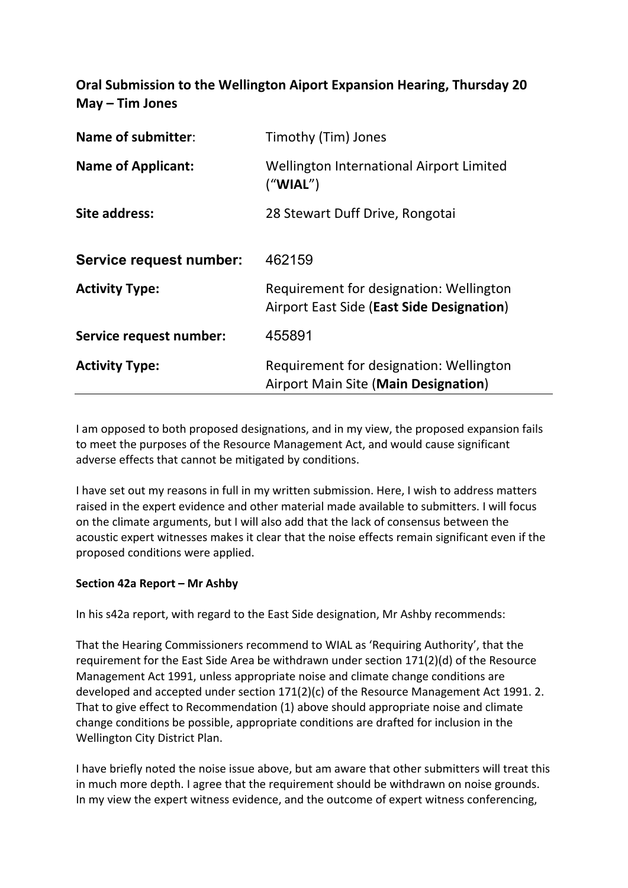**Oral Submission to the Wellington Aiport Expansion Hearing, Thursday 20 May – Tim Jones**

| Name of submitter:        | Timothy (Tim) Jones                                                                    |
|---------------------------|----------------------------------------------------------------------------------------|
| <b>Name of Applicant:</b> | Wellington International Airport Limited<br>("WIAL")                                   |
| Site address:             | 28 Stewart Duff Drive, Rongotai                                                        |
| Service request number:   | 462159                                                                                 |
| <b>Activity Type:</b>     | Requirement for designation: Wellington<br>Airport East Side (East Side Designation)   |
| Service request number:   | 455891                                                                                 |
| <b>Activity Type:</b>     | Requirement for designation: Wellington<br><b>Airport Main Site (Main Designation)</b> |

I am opposed to both proposed designations, and in my view, the proposed expansion fails to meet the purposes of the Resource Management Act, and would cause significant adverse effects that cannot be mitigated by conditions.

I have set out my reasons in full in my written submission. Here, I wish to address matters raised in the expert evidence and other material made available to submitters. I will focus on the climate arguments, but I will also add that the lack of consensus between the acoustic expert witnesses makes it clear that the noise effects remain significant even if the proposed conditions were applied.

## **Section 42a Report – Mr Ashby**

In his s42a report, with regard to the East Side designation, Mr Ashby recommends:

That the Hearing Commissioners recommend to WIAL as 'Requiring Authority', that the requirement for the East Side Area be withdrawn under section 171(2)(d) of the Resource Management Act 1991, unless appropriate noise and climate change conditions are developed and accepted under section 171(2)(c) of the Resource Management Act 1991. 2. That to give effect to Recommendation (1) above should appropriate noise and climate change conditions be possible, appropriate conditions are drafted for inclusion in the Wellington City District Plan.

I have briefly noted the noise issue above, but am aware that other submitters will treat this in much more depth. I agree that the requirement should be withdrawn on noise grounds. In my view the expert witness evidence, and the outcome of expert witness conferencing,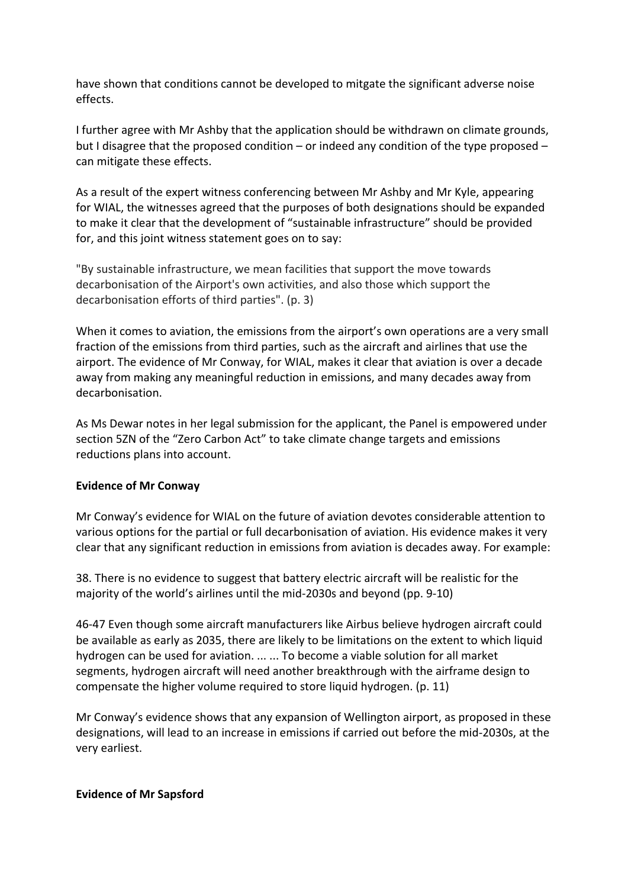have shown that conditions cannot be developed to mitgate the significant adverse noise effects.

I further agree with Mr Ashby that the application should be withdrawn on climate grounds, but I disagree that the proposed condition – or indeed any condition of the type proposed – can mitigate these effects.

As a result of the expert witness conferencing between Mr Ashby and Mr Kyle, appearing for WIAL, the witnesses agreed that the purposes of both designations should be expanded to make it clear that the development of "sustainable infrastructure" should be provided for, and this joint witness statement goes on to say:

"By sustainable infrastructure, we mean facilities that support the move towards decarbonisation of the Airport's own activities, and also those which support the decarbonisation efforts of third parties". (p. 3)

When it comes to aviation, the emissions from the airport's own operations are a very small fraction of the emissions from third parties, such as the aircraft and airlines that use the airport. The evidence of Mr Conway, for WIAL, makes it clear that aviation is over a decade away from making any meaningful reduction in emissions, and many decades away from decarbonisation.

As Ms Dewar notes in her legal submission for the applicant, the Panel is empowered under section 5ZN of the "Zero Carbon Act" to take climate change targets and emissions reductions plans into account.

## **Evidence of Mr Conway**

Mr Conway's evidence for WIAL on the future of aviation devotes considerable attention to various options for the partial or full decarbonisation of aviation. His evidence makes it very clear that any significant reduction in emissions from aviation is decades away. For example:

38. There is no evidence to suggest that battery electric aircraft will be realistic for the majority of the world's airlines until the mid-2030s and beyond (pp. 9-10)

46-47 Even though some aircraft manufacturers like Airbus believe hydrogen aircraft could be available as early as 2035, there are likely to be limitations on the extent to which liquid hydrogen can be used for aviation. ... ... To become a viable solution for all market segments, hydrogen aircraft will need another breakthrough with the airframe design to compensate the higher volume required to store liquid hydrogen. (p. 11)

Mr Conway's evidence shows that any expansion of Wellington airport, as proposed in these designations, will lead to an increase in emissions if carried out before the mid-2030s, at the very earliest.

## **Evidence of Mr Sapsford**